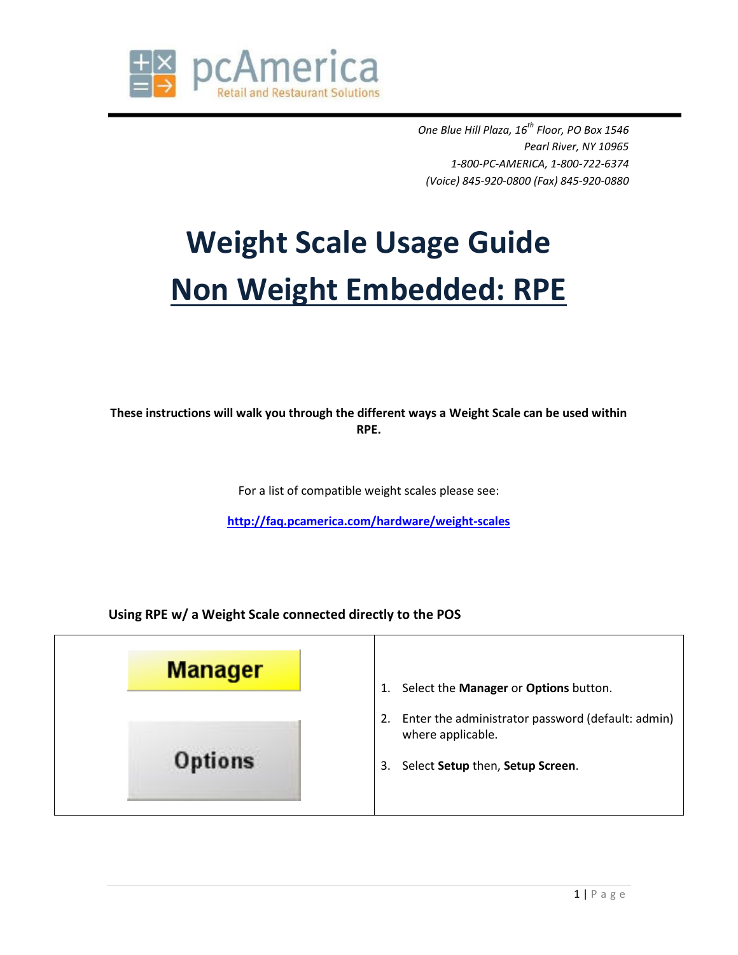

*One Blue Hill Plaza, 16th Floor, PO Box 1546 Pearl River, NY 10965 1-800-PC-AMERICA, 1-800-722-6374 (Voice) 845-920-0800 (Fax) 845-920-0880*

## **Weight Scale Usage Guide Non Weight Embedded: RPE**

**These instructions will walk you through the different ways a Weight Scale can be used within RPE.**

For a list of compatible weight scales please see:

**<http://faq.pcamerica.com/hardware/weight-scales>**

**Using RPE w/ a Weight Scale connected directly to the POS**

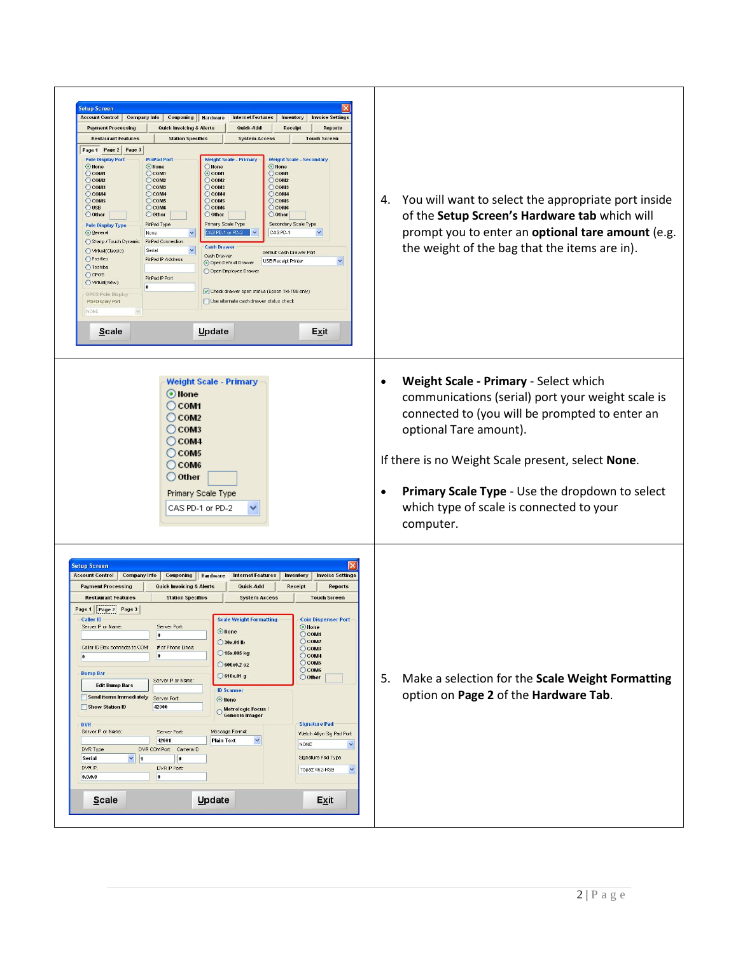<span id="page-1-0"></span>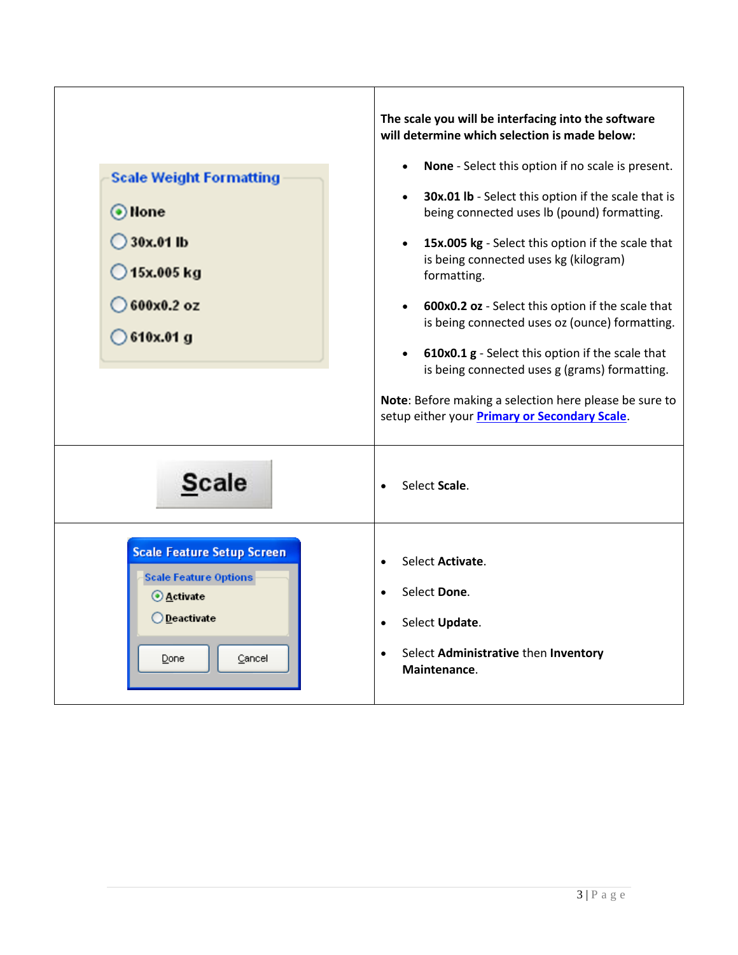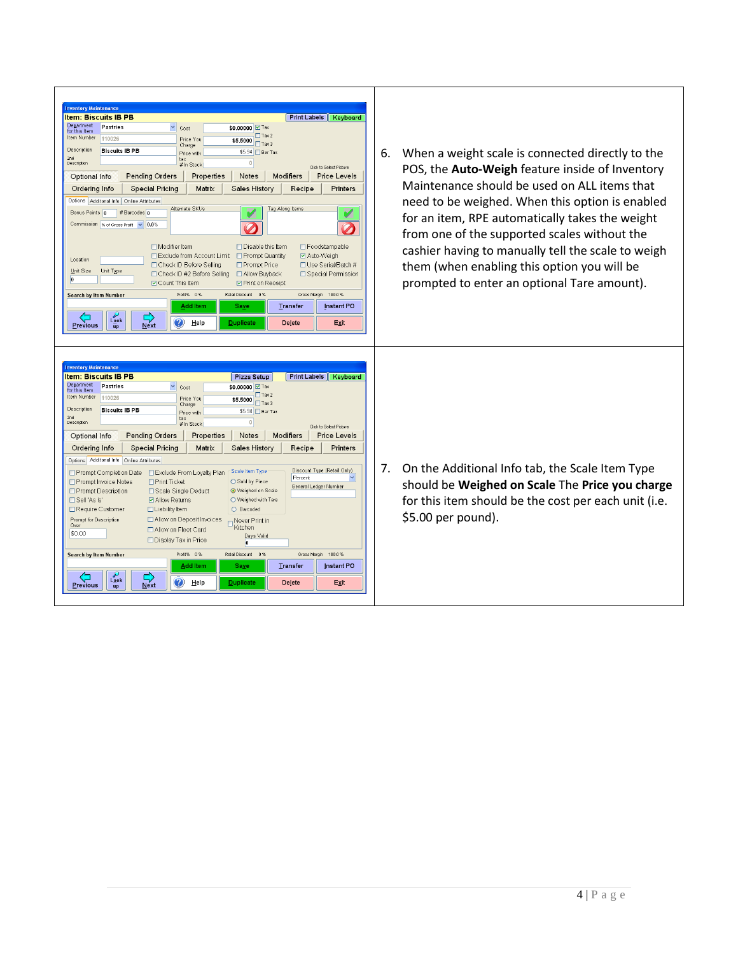| <b>Inventory Maintenance</b><br><b>Item: Biscuits IB PB</b><br>Print Labels   Keyboard<br>Department<br><b>Pastries</b><br>\$0,00000 7 Tax<br>Cost<br>for this Item<br>$\Box$ Tax 2<br>Item Number<br>110026<br>Price You<br>$$5.5000$ Tax 3<br>Charge<br>Description<br><b>Biscuits IB PB</b><br>\$5.94 Bar Tax<br>Price with<br>2nd<br>tax<br>$\circ$<br>Description<br># In Stock<br>Click to Select Picture<br><b>Pending Orders</b><br>Notes<br><b>Modifiers</b><br><b>Price Levels</b><br>Optional Info<br>Properties<br>Sales History<br>Recipe<br>Printers<br>Ordering Info<br><b>Special Pricing</b><br>Matrix<br>Options   Additonal Info   Online Attributes<br>Alternate SKUs<br>Tag Along Items<br>Bonus Points 0<br># Barcodes 0<br>Commission % of Gross Profit v 0.0%<br>□ Foodstampable<br>$\Box$ Modifier Item<br>$\Box$ Disable this Item<br>□ Exclude from Account Limit □ Prompt Quantity<br>☑ Auto-Weigh<br>Location<br>□ Use Serial/Batch #<br>□ Check ID Before Selling<br>□ Prompt Price<br>Unit Type<br>Unit Size<br>□ Special Permission<br>□ Check ID #2 Before Selling<br>□ Allow Buyback<br><b>☑</b> Count This Item<br><b>ØPrint on Receipt</b><br>Profit% 0%<br>Retail Discount 0%<br>Gross Margin 100.0 %<br>Search by Item Number<br>Instant PO<br>Transfer<br><b>Add Item</b><br><b>Save</b><br>Look<br>$\bf (2)$<br><b>Duplicate</b><br>Delete<br>Help<br>Exit<br>Next<br><b>Previous</b><br>up                                                                                                                                                 | When a weight scale is connected directly to the<br>6.<br>POS, the Auto-Weigh feature inside of Inventory<br>Maintenance should be used on ALL items that<br>need to be weighed. When this option is enabled<br>for an item, RPE automatically takes the weight<br>from one of the supported scales without the<br>cashier having to manually tell the scale to weigh<br>them (when enabling this option you will be<br>prompted to enter an optional Tare amount). |
|-------------------------------------------------------------------------------------------------------------------------------------------------------------------------------------------------------------------------------------------------------------------------------------------------------------------------------------------------------------------------------------------------------------------------------------------------------------------------------------------------------------------------------------------------------------------------------------------------------------------------------------------------------------------------------------------------------------------------------------------------------------------------------------------------------------------------------------------------------------------------------------------------------------------------------------------------------------------------------------------------------------------------------------------------------------------------------------------------------------------------------------------------------------------------------------------------------------------------------------------------------------------------------------------------------------------------------------------------------------------------------------------------------------------------------------------------------------------------------------------------------------------------------------------------------------------------------------|---------------------------------------------------------------------------------------------------------------------------------------------------------------------------------------------------------------------------------------------------------------------------------------------------------------------------------------------------------------------------------------------------------------------------------------------------------------------|
| <b>Inventory Maintenance</b><br><b>Item: Biscuits IB PB</b><br>Pizza Setup<br>Print Labels   Keyboard<br>Department<br><b>Pastries</b><br>\$0,00000 7 Tax<br>Cost<br>for this Item<br>$\Box$ Tax 2<br>Item Number<br>110026<br>Price You<br>$$5.5000$ Tax 3<br>Charge<br>Description<br><b>Biscuits IB PB</b><br>\$5.94 <b>Bar Tax</b><br>Price with<br>2nd<br>tax<br>$\mathbb O$<br>Description<br># In Stock<br>Click to Select Picture<br>Optional Info<br>Pending Orders<br>Properties<br><b>Notes</b><br><b>Modifiers</b><br><b>Price Levels</b><br>Matrix<br>Ordering Info<br><b>Special Pricing</b><br>Sales History<br>Recipe<br>Printers<br>Options Additonal Info Online Attributes<br>Discount Type (Retail Only)<br>Scale Item Type<br>□ Prompt Completion Date □ Exclude From Loyalty Plan<br>Percent<br>□ Prompt Invoice Notes<br>□ Print Ticket<br>○ Sold by Piece<br>General Ledger Number<br>□ Prompt Description<br>□ Scale Single Deduct<br>Weighed on Scale<br>◯ Weighed with Tare<br>$\Box$ Sell 'As Is'<br><b>☑</b> Allow Returns<br>$\Box$ Liability Item<br>O Barcoded<br>□ Require Customer<br>□ Allow on Deposit Invoices<br>Prompt for Description<br>Never Print in<br>Over<br>Kitchen<br>□ Allow on Fleet Card<br>\$0.00<br>Days Valid<br>□ Display Tax in Price<br>Profit% 0%<br>Retail Discount 0%<br>Gross Margin 100.0%<br><b>Search by Item Number</b><br>Transfer<br>Instant PO<br><b>Add Item</b><br><b>Save</b><br>$L_{\Omega}$ ok<br>2)<br>$\overline{Next}$<br><b>Duplicate</b><br>Delete<br>Help<br>Exit<br><b>Previous</b><br>$\mathbf{u}$ | On the Additional Info tab, the Scale Item Type<br>7.<br>should be Weighed on Scale The Price you charge<br>for this item should be the cost per each unit (i.e.<br>\$5.00 per pound).                                                                                                                                                                                                                                                                              |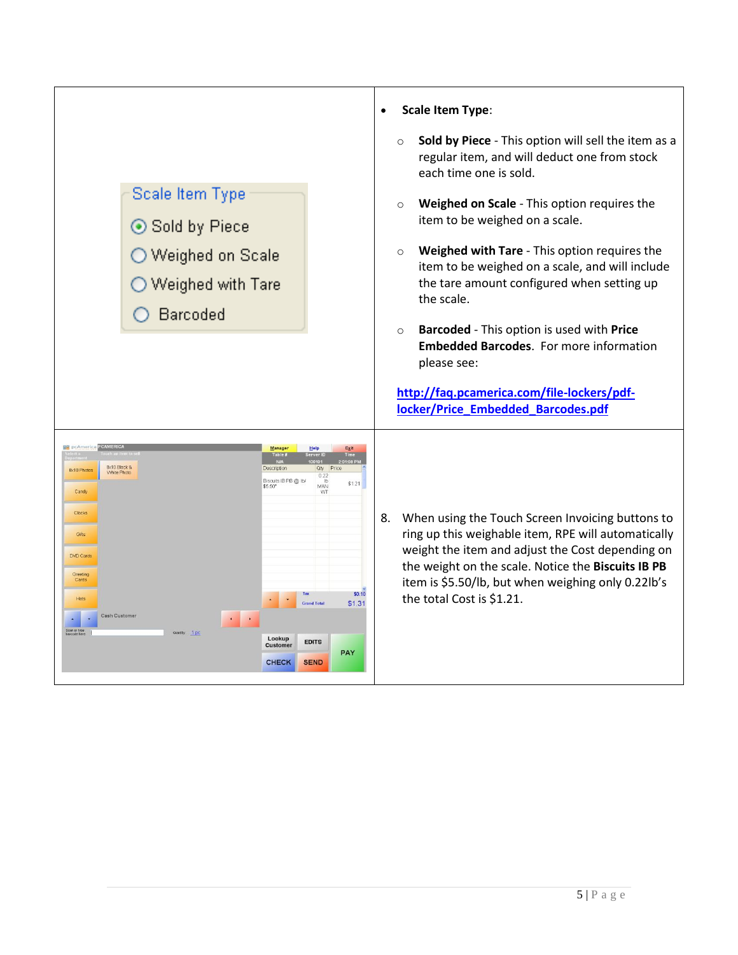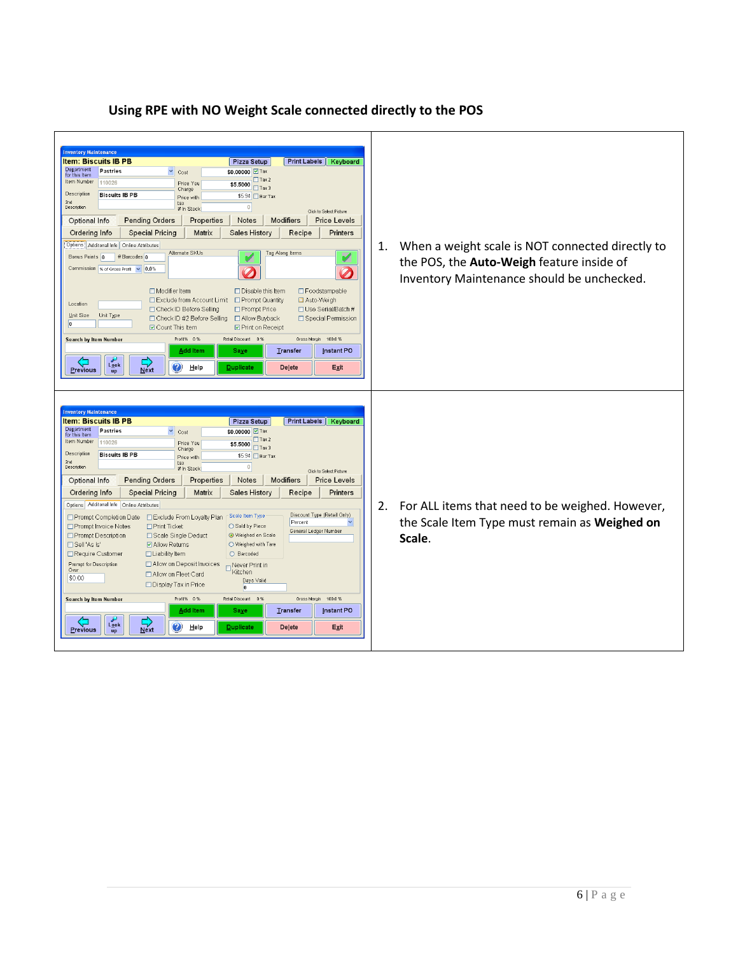## **Item: Biscuits IB PB** Pizza Setup **Print Labels** Keyboard Department<br>for this item<br>tem Number 110026  $\sqrt{\phantom{a}}$  Cost \$0.00000 Z Tax  $\begin{array}{|c|c|}\n\hline\n\text{ $5.5000$} & \text{Tax 2}\n\hline\n\text{ {Tax 3}}\n\hline\n\end{array}$ Price You<br>Charge Description **Biscuits IB PB** Price with<br>tax<br># In Stock \$5.94 □ Bar Tax 2nd<br>Description  $\overline{\circ}$ Click to Select Picture Optional Info Pending Orders | Properties | Notes | Modifiers | Price Levels Sales History Ordering Info | Special Pricing | Matrix |  $Recipe$ Printers Options | Additonal Info | Online Attributes 1. When a weight scale is NOT connected directly to Alternate SKUs Tag Along Items Bonus Points 0 # Barcodes 0 ø V the POS, the **Auto-Weigh** feature inside of Commission % of Gross Profit v 0.0%  $\boldsymbol{\mathcal{D}}$  $\boldsymbol{\mathcal{D}}$ Inventory Maintenance should be unchecked.  $\Box$  Modifier Item  $\Box$  Disable this Item □ Foodstampable Exclude from Account Limit Prompt Quantity Auto-Weigh Location  $\Box$ Prompt Price Check ID Before Selling □Use Serial/Batch#  $\underline{\mathsf{Unit\ Size}}\qquad\mathsf{Unit\ Type}$ -<br>□ Check ID #2 Before Selling Allow Buyback □ Special Permission  $\sqrt{2}$ ☑ Count This Item  $\Box$  Print on Receipt Search by Item Number Profit% 0% Retail Discount 0% Gross Margin 100.0%  $Saye$ Transfer Instant PO Add Item  $L_{\frac{ook}{up}}$  $\frac{L}{\text{Next}}$  $Previous$ ❤ Help Delete Exit **Item: Biscuits IB PB** Pizza Setup **Print Labels | Keyboard** Department Pastries  $\vee$  Cost  $\overline{\text{SO.00000}}$   $\overline{\text{V}}$  Tax  $$\overline{5.5000} \overline{17} \text{a} \times 2$ Item Number 110026 Price You<br>Charge Description Biscuits IB PB  $$5.94$  Bar Tax Price with 2nd<br>Description  $\frac{\text{tax}}{\# \ln \text{Stock}}$  $\overline{0}$ .<br>Click to Calact Dicture Notes | Modifiers | Price Levels Optional Info Pending Orders Properties Sales History Ordering Info | Special Pricing Matrix  $Recipe$ Printers Options Additonal Info Online Attributes 2. For ALL items that need to be weighed. However,  $\Box$  Prompt Completion Date  $\Box$  Exclude From Loyalty Plan  $\Box$  Scale Item Type Discount Type (Retail Only) the Scale Item Type must remain as **Weighed on**   $\overline{\bigcirc}$  Sold by Piece Prompt Invoice Notes  $\Box$  Print Ticket General Ledger Number Prompt Description □ Scale Single Deduct ● Weighed on Scale **Scale**.Sell 'As Is' ☑ Allow Returns  $\bigcirc$  Weighed with Tare Require Customer  $\Box$  Liability Item O Barcoded Prompt for Description  $\Box$  Allow on Deposit Invoices Never Print in Allow on Fleet Card \$0.00 Days Valid Display Tax in Price  $\overline{0}$ letail Discount Search by Item Number rofit%  $0\,\%$  $0.9$ 100.0% Gross Add Item Transfer Instant PO Saye  $\begin{array}{c}\n\swarrow \\
\text{Lgok} \\
\text{up}\n\end{array}$  $\frac{L}{N}$  $\bigcirc$  Help  $P$  revious  $\mathsf{De\mathbf{\underline{let}}}\mathsf{e}$  $Exit$

## **Using RPE with NO Weight Scale connected directly to the POS**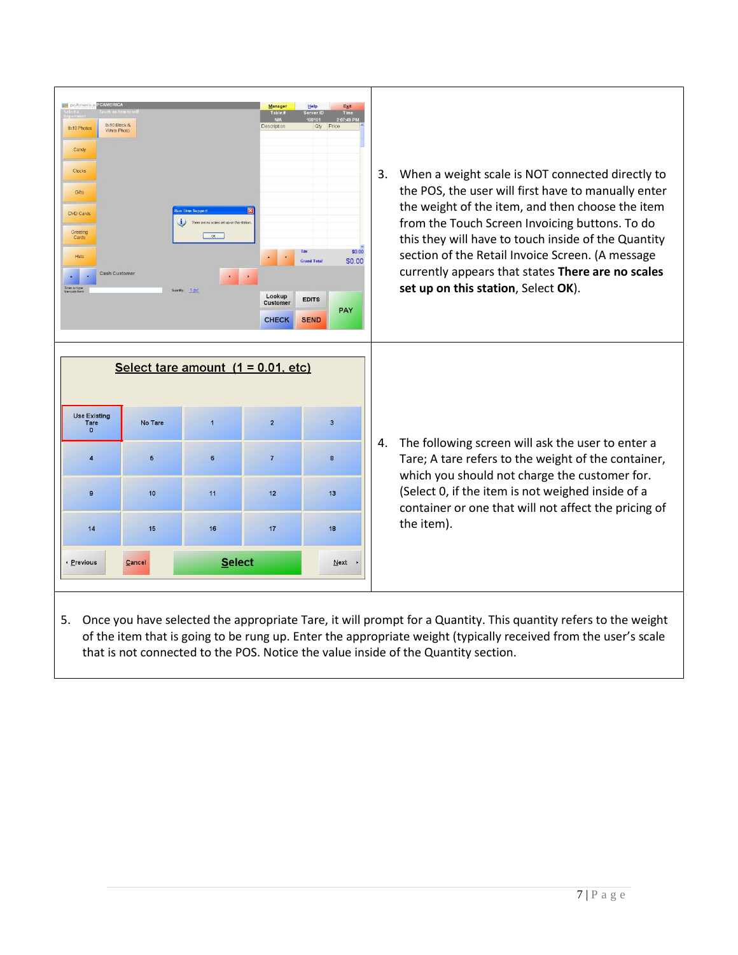| <b>DE pcAmerica</b><br>8x10 Black &<br><b>Bx10 Photo</b><br>White Photo<br>Candy<br>Clocks<br>Gifts<br>DVD Cards<br>Greeting<br>Cards<br><b>Hats</b><br>Cash Customer<br>Scan or type<br>barcode here |                                      | un Time Support<br>There are no scales set up on this station.<br>CK<br>$\bullet$<br>Quartty: 1 pc | Manager<br>Table 1<br>Description<br>$\bullet$<br>$\bullet$<br>Lookup<br><b>Customer</b><br><b>CHECK</b> | Help<br>Exit<br>Server ID<br>Time<br>2:07:49 PM<br>0101<br>Qty Price<br>\$0.00<br><b>Grand Total</b><br>\$0.00<br><b>EDITS</b><br><b>PAY</b><br><b>SEND</b> | When a weight scale is NOT connected directly to<br>3.<br>the POS, the user will first have to manually enter<br>the weight of the item, and then choose the item<br>from the Touch Screen Invoicing buttons. To do<br>this they will have to touch inside of the Quantity<br>section of the Retail Invoice Screen. (A message<br>currently appears that states There are no scales<br>set up on this station, Select OK). |
|-------------------------------------------------------------------------------------------------------------------------------------------------------------------------------------------------------|--------------------------------------|----------------------------------------------------------------------------------------------------|----------------------------------------------------------------------------------------------------------|-------------------------------------------------------------------------------------------------------------------------------------------------------------|----------------------------------------------------------------------------------------------------------------------------------------------------------------------------------------------------------------------------------------------------------------------------------------------------------------------------------------------------------------------------------------------------------------------------|
|                                                                                                                                                                                                       | Select tare amount $(1 = 0.01, etc)$ |                                                                                                    |                                                                                                          |                                                                                                                                                             |                                                                                                                                                                                                                                                                                                                                                                                                                            |
| Use Existing<br>Tare<br>$\Omega$                                                                                                                                                                      | No Tare                              | $\overline{1}$                                                                                     | $\overline{2}$                                                                                           | $\overline{\mathbf{3}}$                                                                                                                                     |                                                                                                                                                                                                                                                                                                                                                                                                                            |
| $\overline{4}$                                                                                                                                                                                        | $\overline{5}$                       | 6                                                                                                  | $\overline{7}$                                                                                           | 8                                                                                                                                                           | The following screen will ask the user to enter a<br>4.<br>Tare; A tare refers to the weight of the container,                                                                                                                                                                                                                                                                                                             |
| $\mathbf{9}$                                                                                                                                                                                          | 10                                   | 11                                                                                                 | 12                                                                                                       | 13                                                                                                                                                          | which you should not charge the customer for.<br>(Select 0, if the item is not weighed inside of a<br>container or one that will not affect the pricing of                                                                                                                                                                                                                                                                 |
| 14                                                                                                                                                                                                    | 15                                   | 16                                                                                                 | 17                                                                                                       | 18                                                                                                                                                          | the item).                                                                                                                                                                                                                                                                                                                                                                                                                 |
| · Previous                                                                                                                                                                                            | Cancel                               | Select                                                                                             |                                                                                                          | Next                                                                                                                                                        |                                                                                                                                                                                                                                                                                                                                                                                                                            |
|                                                                                                                                                                                                       |                                      |                                                                                                    |                                                                                                          |                                                                                                                                                             |                                                                                                                                                                                                                                                                                                                                                                                                                            |

5. Once you have selected the appropriate Tare, it will prompt for a Quantity. This quantity refers to the weight of the item that is going to be rung up. Enter the appropriate weight (typically received from the user's scale that is not connected to the POS. Notice the value inside of the Quantity section.